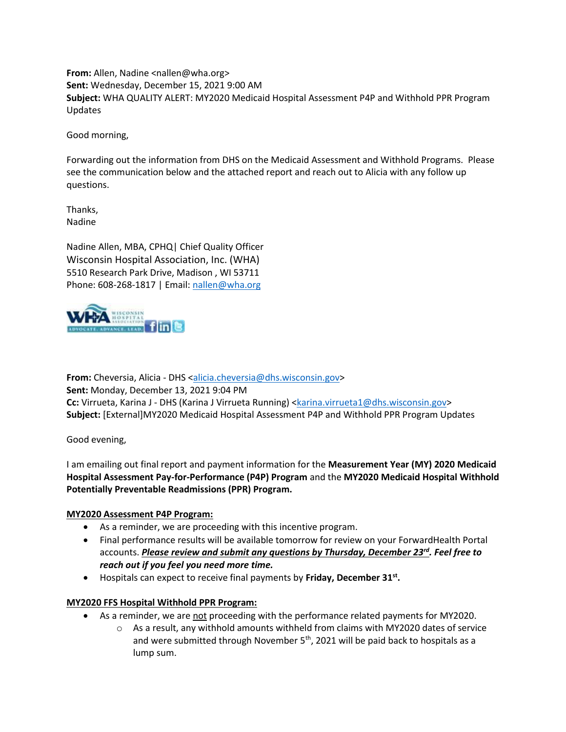**From:** Allen, Nadine <nallen@wha.org> **Sent:** Wednesday, December 15, 2021 9:00 AM **Subject:** WHA QUALITY ALERT: MY2020 Medicaid Hospital Assessment P4P and Withhold PPR Program Updates

Good morning,

Forwarding out the information from DHS on the Medicaid Assessment and Withhold Programs. Please see the communication below and the attached report and reach out to Alicia with any follow up questions.

Thanks, Nadine

Nadine Allen, MBA, CPHQ| Chief Quality Officer Wisconsin Hospital Association, Inc. (WHA) 5510 Research Park Drive, Madison , WI 53711 Phone: 608-268-1817 | Email: [nallen@wha.org](mailto:nallen@wha.org)



**From:** Cheversia, Alicia - DHS [<alicia.cheversia@dhs.wisconsin.gov>](mailto:alicia.cheversia@dhs.wisconsin.gov) **Sent:** Monday, December 13, 2021 9:04 PM **Cc:** Virrueta, Karina J - DHS (Karina J Virrueta Running) [<karina.virrueta1@dhs.wisconsin.gov>](mailto:karina.virrueta1@dhs.wisconsin.gov) **Subject:** [External]MY2020 Medicaid Hospital Assessment P4P and Withhold PPR Program Updates

Good evening,

I am emailing out final report and payment information for the **Measurement Year (MY) 2020 Medicaid Hospital Assessment Pay-for-Performance (P4P) Program** and the **MY2020 Medicaid Hospital Withhold Potentially Preventable Readmissions (PPR) Program.** 

## **MY2020 Assessment P4P Program:**

- As a reminder, we are proceeding with this incentive program.
- Final performance results will be available tomorrow for review on your ForwardHealth Portal accounts. *Please review and submit any questions by Thursday, December 23rd. Feel free to reach out if you feel you need more time.*
- Hospitals can expect to receive final payments by **Friday, December 31st .**

## **MY2020 FFS Hospital Withhold PPR Program:**

- As a reminder, we are not proceeding with the performance related payments for MY2020.
	- $\circ$  As a result, any withhold amounts withheld from claims with MY2020 dates of service and were submitted through November 5<sup>th</sup>, 2021 will be paid back to hospitals as a lump sum.